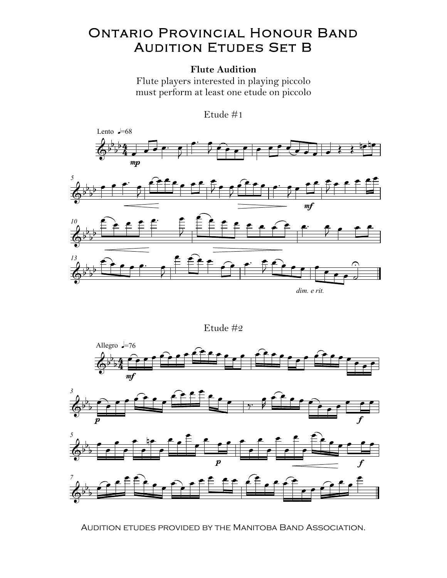## **ONTARIO PROVINCIAL HONOUR BAND AUDITION ETUDES SET B**

## **Flute Audition**

Flute players interested in playing piccolo must perform at least one etude on piccolo



Etude #2









AUDITION ETUDES PROVIDED BY THE MANITOBA BAND ASSOCIATION.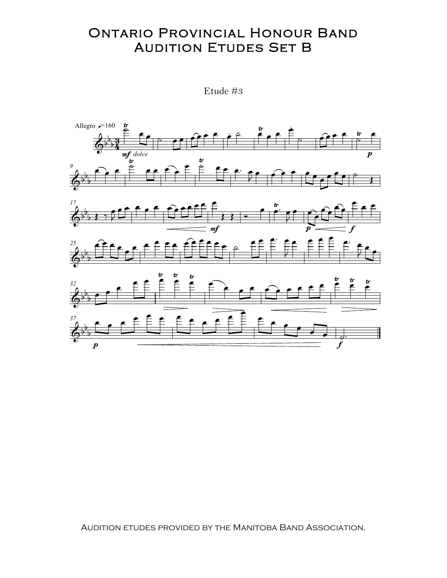## **ONTARIO PROVINCIAL HONOUR BAND AUDITION ETUDES SET B**

Etude  $#3$ 



AUDITION ETUDES PROVIDED BY THE MANITOBA BAND ASSOCIATION.